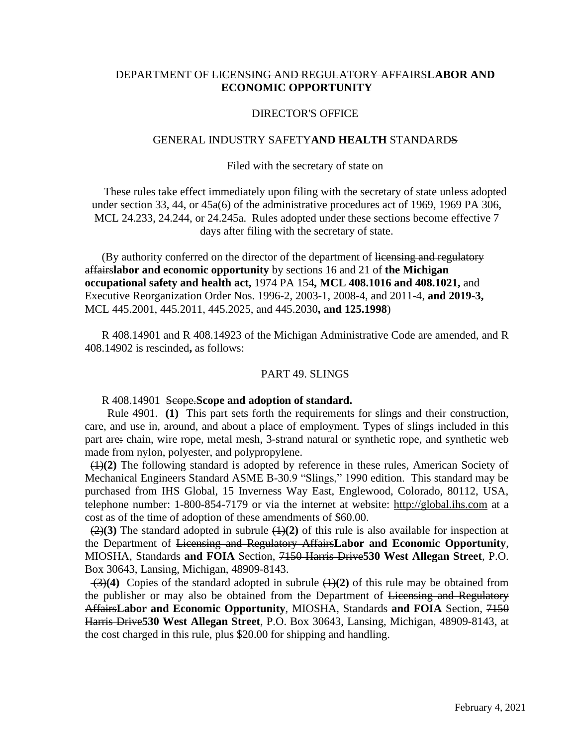# DEPARTMENT OF LICENSING AND REGULATORY AFFAIRS**LABOR AND ECONOMIC OPPORTUNITY**

## DIRECTOR'S OFFICE

## GENERAL INDUSTRY SAFETY**AND HEALTH** STANDARDS

### Filed with the secretary of state on

These rules take effect immediately upon filing with the secretary of state unless adopted under section 33, 44, or 45a(6) of the administrative procedures act of 1969, 1969 PA 306, MCL 24.233, 24.244, or 24.245a. Rules adopted under these sections become effective 7 days after filing with the secretary of state.

(By authority conferred on the director of the department of licensing and regulatory affairs**labor and economic opportunity** by sections 16 and 21 of **the Michigan occupational safety and health act,** 1974 PA 154**, MCL 408.1016 and 408.1021,** and Executive Reorganization Order Nos. 1996-2, 2003-1, 2008-4, and 2011-4, **and 2019-3,**  MCL 445.2001, 445.2011, 445.2025, and 445.2030**, and 125.1998**)

R 408.14901 and R 408.14923 of the Michigan Administrative Code are amended, and R 408.14902 is rescinded**,** as follows:

### PART 49. SLINGS

R 408.14901 Scope.**Scope and adoption of standard.**

 Rule 4901. **(1)** This part sets forth the requirements for slings and their construction, care, and use in, around, and about a place of employment. Types of slings included in this part are: chain, wire rope, metal mesh, 3-strand natural or synthetic rope, and synthetic web made from nylon, polyester, and polypropylene.

 (1)**(2)** The following standard is adopted by reference in these rules, American Society of Mechanical Engineers Standard ASME B-30.9 "Slings," 1990 edition. This standard may be purchased from IHS Global, 15 Inverness Way East, Englewood, Colorado, 80112, USA, telephone number: 1-800-854-7179 or via the internet at website: [http://global.ihs.com](http://global.ihs.com/) at a cost as of the time of adoption of these amendments of \$60.00.

 $(2)(3)$  The standard adopted in subrule  $(1)(2)$  of this rule is also available for inspection at the Department of Licensing and Regulatory Affairs**Labor and Economic Opportunity**, MIOSHA, Standards **and FOIA** Section, 7150 Harris Drive**530 West Allegan Street**, P.O. Box 30643, Lansing, Michigan, 48909-8143.

 (3)**(4)** Copies of the standard adopted in subrule (1)**(2)** of this rule may be obtained from the publisher or may also be obtained from the Department of Licensing and Regulatory Affairs**Labor and Economic Opportunity**, MIOSHA, Standards **and FOIA** Section, 7150 Harris Drive**530 West Allegan Street**, P.O. Box 30643, Lansing, Michigan, 48909-8143, at the cost charged in this rule, plus \$20.00 for shipping and handling.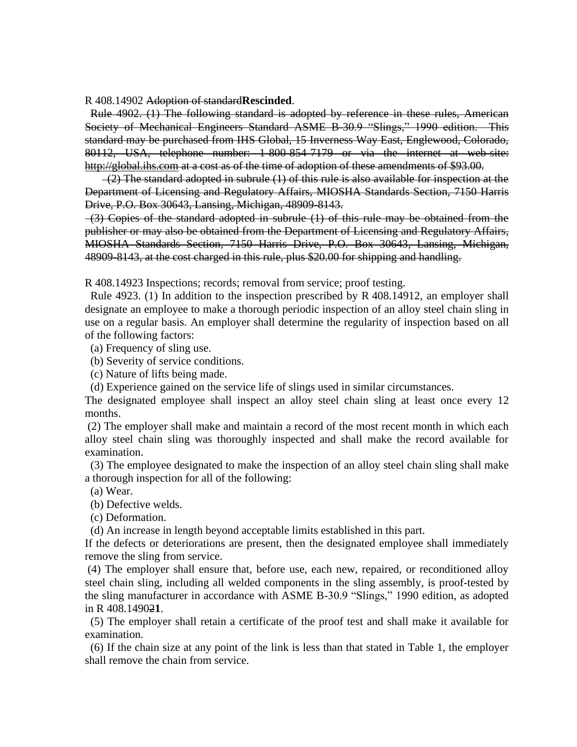R 408.14902 Adoption of standard**Rescinded**.

 Rule 4902. (1) The following standard is adopted by reference in these rules, American Society of Mechanical Engineers Standard ASME B-30.9 "Slings," 1990 edition. This standard may be purchased from IHS Global, 15 Inverness Way East, Englewood, Colorado, 80112, USA, telephone number: 1-800-854-7179 or via the internet at web-site: [http://global.ihs.com](http://global.ihs.com/) at a cost as of the time of adoption of these amendments of \$93.00.

(2) The standard adopted in subrule (1) of this rule is also available for inspection at the Department of Licensing and Regulatory Affairs, MIOSHA Standards Section, 7150 Harris Drive, P.O. Box 30643, Lansing, Michigan, 48909-8143.

(3) Copies of the standard adopted in subrule (1) of this rule may be obtained from the publisher or may also be obtained from the Department of Licensing and Regulatory Affairs, MIOSHA Standards Section, 7150 Harris Drive, P.O. Box 30643, Lansing, Michigan, 48909-8143, at the cost charged in this rule, plus \$20.00 for shipping and handling.

R 408.14923 Inspections; records; removal from service; proof testing.

 Rule 4923. (1) In addition to the inspection prescribed by R 408.14912, an employer shall designate an employee to make a thorough periodic inspection of an alloy steel chain sling in use on a regular basis. An employer shall determine the regularity of inspection based on all of the following factors:

- (a) Frequency of sling use.
- (b) Severity of service conditions.
- (c) Nature of lifts being made.

(d) Experience gained on the service life of slings used in similar circumstances.

The designated employee shall inspect an alloy steel chain sling at least once every 12 months.

(2) The employer shall make and maintain a record of the most recent month in which each alloy steel chain sling was thoroughly inspected and shall make the record available for examination.

 (3) The employee designated to make the inspection of an alloy steel chain sling shall make a thorough inspection for all of the following:

(a) Wear.

(b) Defective welds.

(c) Deformation.

(d) An increase in length beyond acceptable limits established in this part.

If the defects or deteriorations are present, then the designated employee shall immediately remove the sling from service.

(4) The employer shall ensure that, before use, each new, repaired, or reconditioned alloy steel chain sling, including all welded components in the sling assembly, is proof-tested by the sling manufacturer in accordance with ASME B-30.9 "Slings," 1990 edition, as adopted in R 408.14902**1**.

 (5) The employer shall retain a certificate of the proof test and shall make it available for examination.

 (6) If the chain size at any point of the link is less than that stated in Table 1, the employer shall remove the chain from service.